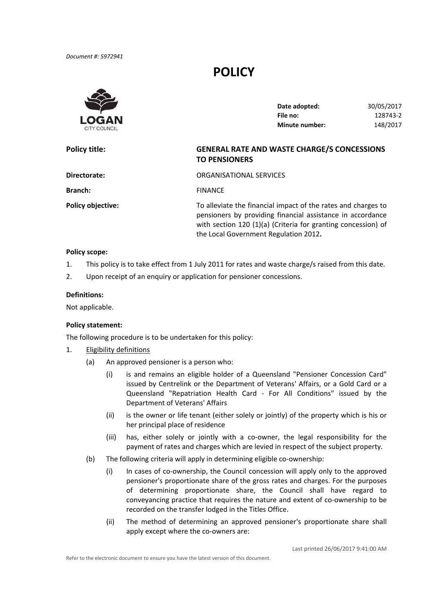# **POLICY**



| Date adopted:         | 30/05/2017 |
|-----------------------|------------|
| File no:              | 128743-2   |
| <b>Minute number:</b> | 148/2017   |

# **Policy title: GENERAL RATE AND WASTE CHARGE/S CONCESSIONS TO PENSIONERS**

| Directorate:             | ORGANISATIONAL SERVICES                                                                                                                                                                                                               |
|--------------------------|---------------------------------------------------------------------------------------------------------------------------------------------------------------------------------------------------------------------------------------|
| <b>Branch:</b>           | <b>FINANCE</b>                                                                                                                                                                                                                        |
| <b>Policy objective:</b> | To alleviate the financial impact of the rates and charges to<br>pensioners by providing financial assistance in accordance<br>with section 120 (1)(a) (Criteria for granting concession) of<br>the Local Government Regulation 2012. |

#### **Policy scope:**

- 1. This policy is to take effect from 1 July 2011 for rates and waste charge/s raised from this date.
- 2. Upon receipt of an enquiry or application for pensioner concessions.

## **Definitions:**

Not applicable.

#### **Policy statement:**

The following procedure is to be undertaken for this policy:

- 1. Eligibility definitions
	- (a) An approved pensioner is a person who:
		- (i) is and remains an eligible holder of a Queensland "Pensioner Concession Card" issued by Centrelink or the Department of Veterans' Affairs, or a Gold Card or a Queensland "Repatriation Health Card ‐ For All Conditions" issued by the Department of Veterans' Affairs
		- (ii) is the owner or life tenant (either solely or jointly) of the property which is his or her principal place of residence
		- (iii) has, either solely or jointly with a co‐owner, the legal responsibility for the payment of rates and charges which are levied in respect of the subject property.
	- (b) The following criteria will apply in determining eligible co‐ownership:
		- (i) In cases of co‐ownership, the Council concession will apply only to the approved pensioner's proportionate share of the gross rates and charges. For the purposes of determining proportionate share, the Council shall have regard to conveyancing practice that requires the nature and extent of co‐ownership to be recorded on the transfer lodged in the Titles Office.
		- (ii) The method of determining an approved pensioner's proportionate share shall apply except where the co‐owners are: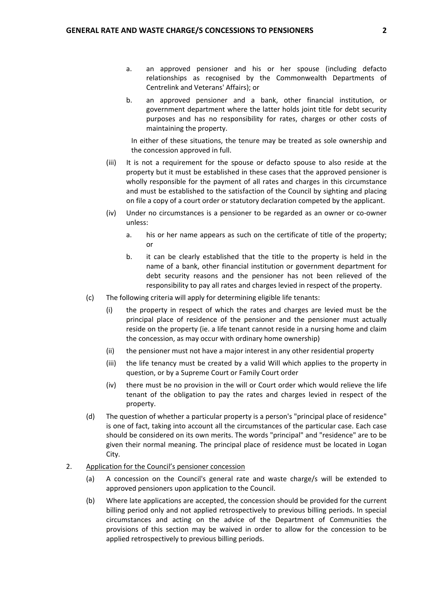- a. an approved pensioner and his or her spouse (including defacto relationships as recognised by the Commonwealth Departments of Centrelink and Veterans' Affairs); or
- b. an approved pensioner and a bank, other financial institution, or government department where the latter holds joint title for debt security purposes and has no responsibility for rates, charges or other costs of maintaining the property.

 In either of these situations, the tenure may be treated as sole ownership and the concession approved in full.

- (iii) It is not a requirement for the spouse or defacto spouse to also reside at the property but it must be established in these cases that the approved pensioner is wholly responsible for the payment of all rates and charges in this circumstance and must be established to the satisfaction of the Council by sighting and placing on file a copy of a court order or statutory declaration competed by the applicant.
- (iv) Under no circumstances is a pensioner to be regarded as an owner or co‐owner unless:
	- a. his or her name appears as such on the certificate of title of the property; or
	- b. it can be clearly established that the title to the property is held in the name of a bank, other financial institution or government department for debt security reasons and the pensioner has not been relieved of the responsibility to pay all rates and charges levied in respect of the property.
- (c) The following criteria will apply for determining eligible life tenants:
	- (i) the property in respect of which the rates and charges are levied must be the principal place of residence of the pensioner and the pensioner must actually reside on the property (ie. a life tenant cannot reside in a nursing home and claim the concession, as may occur with ordinary home ownership)
	- (ii) the pensioner must not have a major interest in any other residential property
	- (iii) the life tenancy must be created by a valid Will which applies to the property in question, or by a Supreme Court or Family Court order
	- (iv) there must be no provision in the will or Court order which would relieve the life tenant of the obligation to pay the rates and charges levied in respect of the property.
- (d) The question of whether a particular property is a person's "principal place of residence" is one of fact, taking into account all the circumstances of the particular case. Each case should be considered on its own merits. The words "principal" and "residence" are to be given their normal meaning. The principal place of residence must be located in Logan City.

## 2. Application for the Council's pensioner concession

- (a) A concession on the Council's general rate and waste charge/s will be extended to approved pensioners upon application to the Council.
- (b) Where late applications are accepted, the concession should be provided for the current billing period only and not applied retrospectively to previous billing periods. In special circumstances and acting on the advice of the Department of Communities the provisions of this section may be waived in order to allow for the concession to be applied retrospectively to previous billing periods.